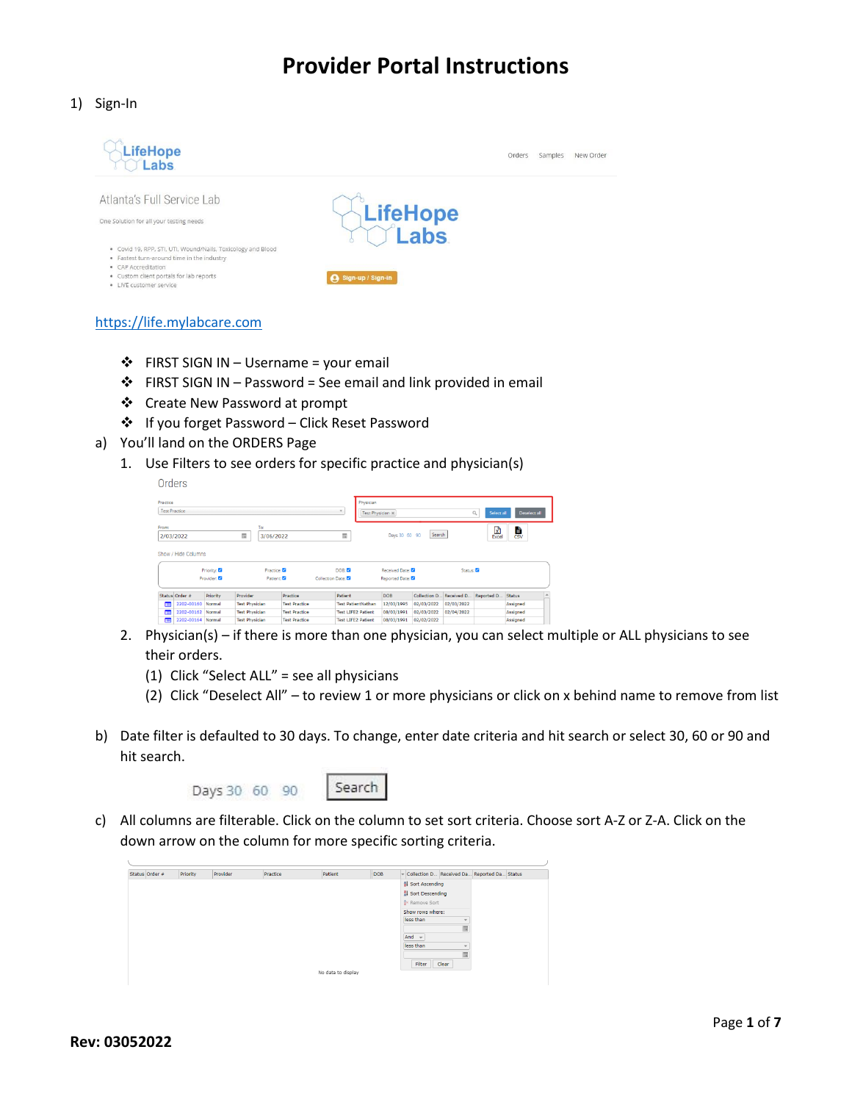1) Sign-In



- [https://life.mylabcare.com](https://life.mylabcare.com/)
	- $\div$  FIRST SIGN IN Username = your email
	- $\div$  FIRST SIGN IN Password = See email and link provided in email
	- Create New Password at prompt
	- If you forget Password Click Reset Password
- a) You'll land on the ORDERS Page
	- 1. Use Filters to see orders for specific practice and physician(s)

| Practice<br><b>Test Practice</b> |           |                       |                      | $\overline{\tau}$         | Physician        |                |               |             |                 | Deselect all                 |
|----------------------------------|-----------|-----------------------|----------------------|---------------------------|------------------|----------------|---------------|-------------|-----------------|------------------------------|
|                                  |           |                       |                      |                           | Test Physician X |                |               |             | Q<br>Select all |                              |
| From:<br>2/03/2022               |           | To:<br>肩<br>3/06/2022 |                      | 肩                         |                  | Days 30 60 90  | Search        |             | ඹ<br>Excel      | E<br>$\overline{\text{csv}}$ |
|                                  |           |                       |                      |                           |                  |                |               |             |                 |                              |
|                                  |           |                       |                      |                           |                  |                |               |             |                 |                              |
| Show / Hide Columns              | Priority: |                       | Practice:            | DOB: 22                   |                  | Received Date: |               | Status:     |                 |                              |
|                                  | Provider: |                       | Patient:             | Collection Date:          |                  | Reported Date: |               |             |                 |                              |
| Status Order #                   | Priority  | Provider              | Practice             | Patient                   |                  | <b>DOB</b>     | Collection D. | Received D. | Reported D.     | Status                       |
| 2202-00160<br>п                  | Normal    | <b>Test Physician</b> | <b>Test Practice</b> | <b>Test PatientNathan</b> |                  | 12/03/1995     | 02/03/2022    | 02/03/2022  |                 | Assigned                     |
| E<br>2202-00162                  | Normal    | <b>Test Physician</b> | <b>Test Practice</b> | <b>Test LIFE2 Patient</b> |                  | 08/03/1991     | 02/03/2022    | 02/04/2022  |                 | Assigned                     |

- 2. Physician(s) if there is more than one physician, you can select multiple or ALL physicians to see their orders.
	- (1) Click "Select ALL" = see all physicians
	- (2) Click "Deselect All" to review 1 or more physicians or click on x behind name to remove from list
- b) Date filter is defaulted to 30 days. To change, enter date criteria and hit search or select 30, 60 or 90 and hit search.

Days 30 60 90



c) All columns are filterable. Click on the column to set sort criteria. Choose sort A-Z or Z-A. Click on the down arrow on the column for more specific sorting criteria.

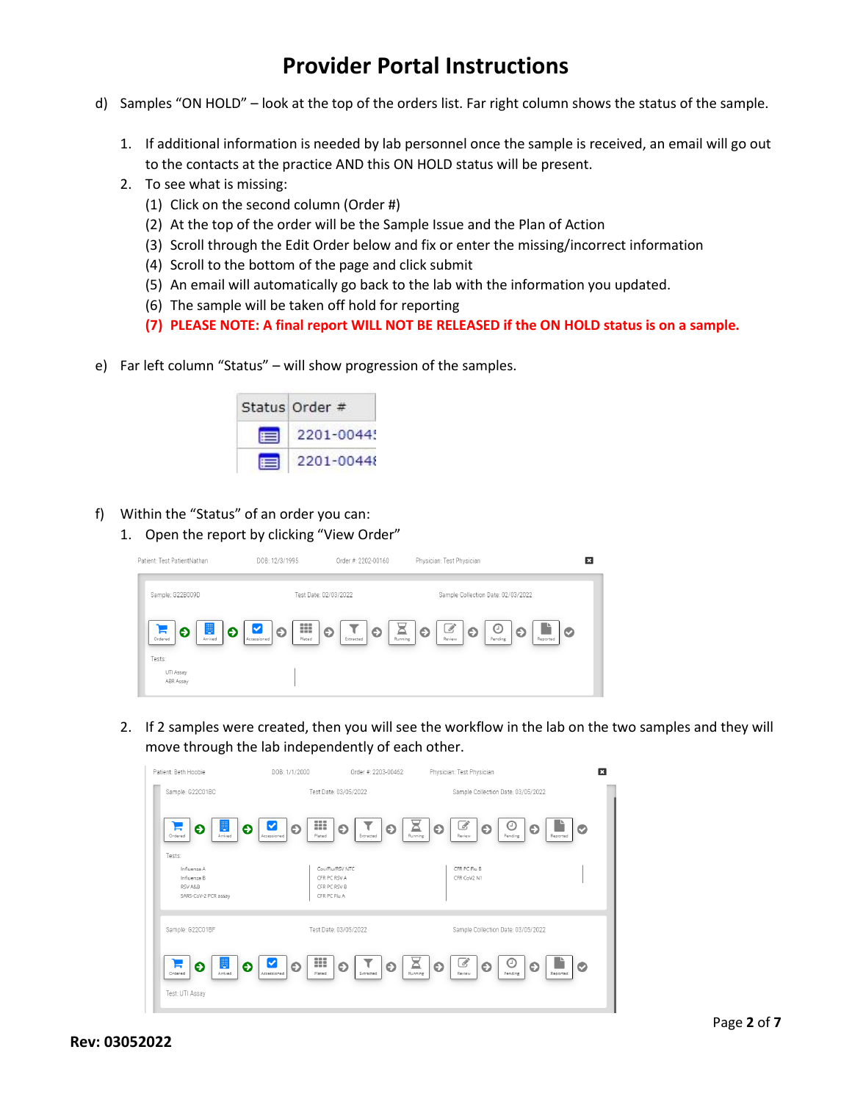- d) Samples "ON HOLD" look at the top of the orders list. Far right column shows the status of the sample.
	- 1. If additional information is needed by lab personnel once the sample is received, an email will go out to the contacts at the practice AND this ON HOLD status will be present.
	- 2. To see what is missing:
		- (1) Click on the second column (Order #)
		- (2) At the top of the order will be the Sample Issue and the Plan of Action
		- (3) Scroll through the Edit Order below and fix or enter the missing/incorrect information
		- (4) Scroll to the bottom of the page and click submit
		- (5) An email will automatically go back to the lab with the information you updated.
		- (6) The sample will be taken off hold for reporting
		- **(7) PLEASE NOTE: A final report WILL NOT BE RELEASED if the ON HOLD status is on a sample.**
- e) Far left column "Status" will show progression of the samples.

| Status Order #     |
|--------------------|
| $\equiv$ 2201-0044 |
| 2201-00448         |

- f) Within the "Status" of an order you can:
	- 1. Open the report by clicking "View Order"

| Patient: Test PatientNathan                      | DOB: 12/3/1995<br>Order #: 2202-00160                                  | Physician: Test Physician                                                                  | B            |
|--------------------------------------------------|------------------------------------------------------------------------|--------------------------------------------------------------------------------------------|--------------|
| Sample: G22B009D                                 | Test Date: 02/03/2022                                                  | Sample Collection Date: 02/03/2022                                                         |              |
| 豐<br>Ð<br>Θ<br>Б<br>Ordered<br>Arrived<br>Tests: | ₩<br>$\bullet$<br>$\bullet$<br>O<br>Accessioned<br>Plated<br>Extracted | $\mathscr{B}$<br>⊙<br>$\bullet$<br>Θ<br>O<br>≏<br>Running<br>Review<br>Pending<br>Reported | $\checkmark$ |
| UTI Assay<br>ABR Assay                           |                                                                        |                                                                                            |              |

2. If 2 samples were created, then you will see the workflow in the lab on the two samples and they will move through the lab independently of each other.

| Patient: Beth Hoobie                                                    | DOB: 1/1/2000                                | Order #: 2203-00462                      | Physician: Test Physician                                                         | ЕЗ            |
|-------------------------------------------------------------------------|----------------------------------------------|------------------------------------------|-----------------------------------------------------------------------------------|---------------|
| Sample: G22C01BC                                                        |                                              | Test Date: 03/05/2022                    | Sample Collection Date: 03/05/2022                                                |               |
| 睜<br>Θ<br>Θ<br>F<br>Arrived<br>Ordered                                  | ₩<br>Θ<br>Accessioned<br>Plated              | $\bullet$<br>Θ<br>Extracted              | B,<br>Θ<br>Ā<br>$\bullet$<br>Θ<br>Running<br>Pending<br>Review                    | Θ<br>Reported |
| Tests:<br>Influenza A<br>Influenza B<br>RSV A&B<br>SARS-CoV-2 PCR assay | CFR PC RSV A<br>CFR PC RSV B<br>CFR PC Flu A | Cov/Flu/RSV NTC                          | CFR PC Flu B<br>CFR CoV2 N1                                                       |               |
| Sample: G22C01BF                                                        |                                              | Test Date: 03/05/2022                    | Sample Collection Date: 03/05/2022                                                |               |
| E<br>Θ<br>Θ<br>╒<br>Arrived<br>Ordered<br>Test: UTI Assay               | ₩<br>⊻<br>$\bullet$<br>Accessioned<br>Plated | τ<br>$\bullet$<br>$\bullet$<br>Extracted | $\mathscr{B}$<br>⊙<br>즈<br>$\bullet$<br>$\bullet$<br>Running<br>Pending<br>Review | ⊖<br>Reported |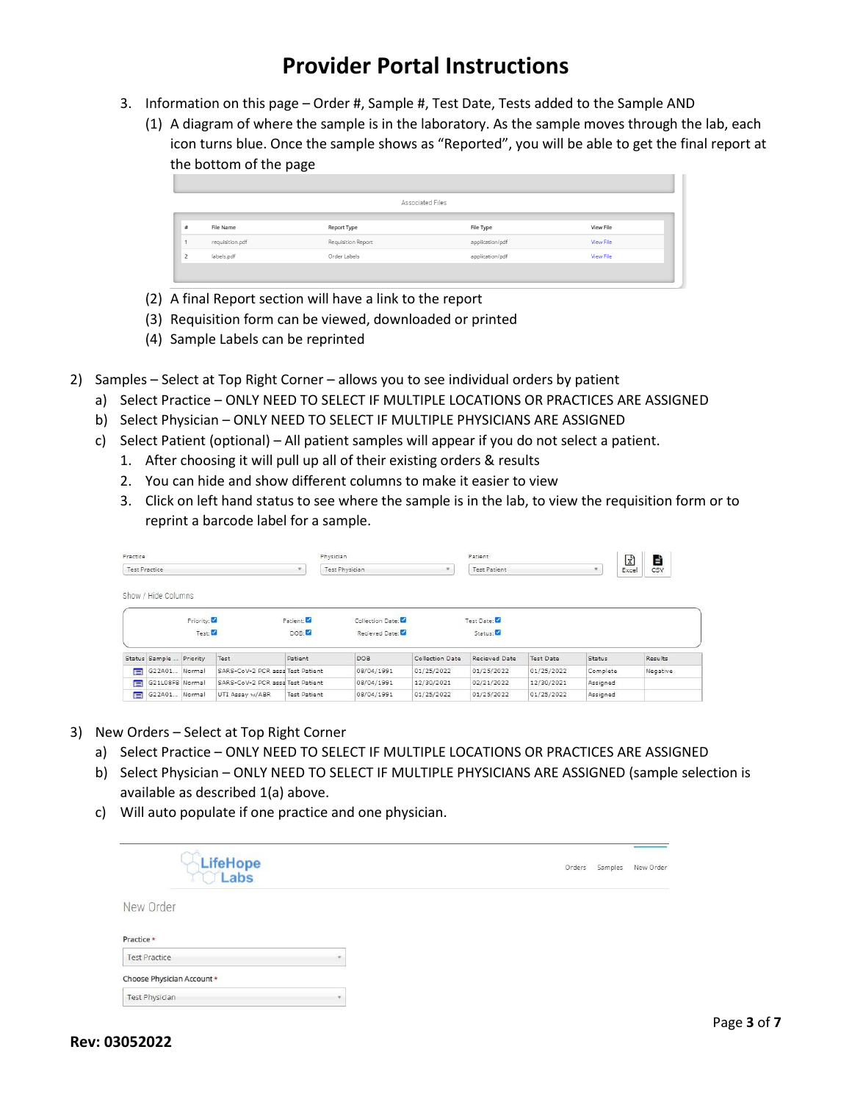- 3. Information on this page Order #, Sample #, Test Date, Tests added to the Sample AND
	- (1) A diagram of where the sample is in the laboratory. As the sample moves through the lab, each icon turns blue. Once the sample shows as "Reported", you will be able to get the final report at the bottom of the page

|                 |                    | Associated Files |                  |
|-----------------|--------------------|------------------|------------------|
|                 |                    |                  |                  |
| File Name       | Report Type        | File Type        | <b>View File</b> |
| requisition.pdf | Requisition Report | application/pdf  | View File        |
| labels.pdf      | Order Labels       | application/pdf  | View File        |

- (2) A final Report section will have a link to the report
- (3) Requisition form can be viewed, downloaded or printed
- (4) Sample Labels can be reprinted
- 2) Samples Select at Top Right Corner allows you to see individual orders by patient
	- a) Select Practice ONLY NEED TO SELECT IF MULTIPLE LOCATIONS OR PRACTICES ARE ASSIGNED
	- b) Select Physician ONLY NEED TO SELECT IF MULTIPLE PHYSICIANS ARE ASSIGNED
	- c) Select Patient (optional) All patient samples will appear if you do not select a patient.
		- 1. After choosing it will pull up all of their existing orders & results
		- 2. You can hide and show different columns to make it easier to view
		- 3. Click on left hand status to see where the sample is in the lab, to view the requisition form or to reprint a barcode label for a sample.

| Practice |                         |           |                                  | Physician             |                  | Patient<br><b>Test Patient</b> |               |                  | $\mathbb{R}$<br>È<br>CSV<br>Excel |          |
|----------|-------------------------|-----------|----------------------------------|-----------------------|------------------|--------------------------------|---------------|------------------|-----------------------------------|----------|
|          | <b>Test Practice</b>    |           |                                  | <b>Test Physician</b> |                  |                                |               |                  |                                   |          |
|          | Show / Hide Columns     |           |                                  |                       |                  |                                |               |                  |                                   |          |
|          |                         | Priority: |                                  | Patient:              | Collection Date: |                                | Test Date:    |                  |                                   |          |
|          |                         | Test: 2   |                                  | DOB:                  | Recieved Date:   |                                | Status:       |                  |                                   |          |
|          | Status Sample  Priority |           | Test                             | Patient               | DOB              | Collection Date                | Recieved Date | <b>Test Date</b> | Status                            | Results  |
| E        | G22A01 Normal           |           | SARS-CoV-2 PCR assa Test Patient |                       | 08/04/1991       | 01/25/2022                     | 01/25/2022    | 01/25/2022       | Complete                          | Negative |
| E        | G21L08F8 Normal         |           | SARS-CoV-2 PCR assa Test Patient |                       | 08/04/1991       | 12/30/2021                     | 02/21/2022    | 12/30/2021       | Assigned                          |          |
| 肩        | G22A01 Normal           |           | UTI Assay w/ABR                  | <b>Test Patient</b>   | 08/04/1991       | 01/25/2022                     | 01/25/2022    | 01/25/2022       | Assigned                          |          |

- 3) New Orders Select at Top Right Corner
	- a) Select Practice ONLY NEED TO SELECT IF MULTIPLE LOCATIONS OR PRACTICES ARE ASSIGNED
	- b) Select Physician ONLY NEED TO SELECT IF MULTIPLE PHYSICIANS ARE ASSIGNED (sample selection is available as described 1(a) above.
	- c) Will auto populate if one practice and one physician.

| LifeHope<br>C Labs                                 | Orders | Samples | New Order |
|----------------------------------------------------|--------|---------|-----------|
| New Order                                          |        |         |           |
| Practice *                                         |        |         |           |
| <b>Test Practice</b><br>Choose Physician Account * |        |         |           |
| <b>Test Physician</b>                              |        |         |           |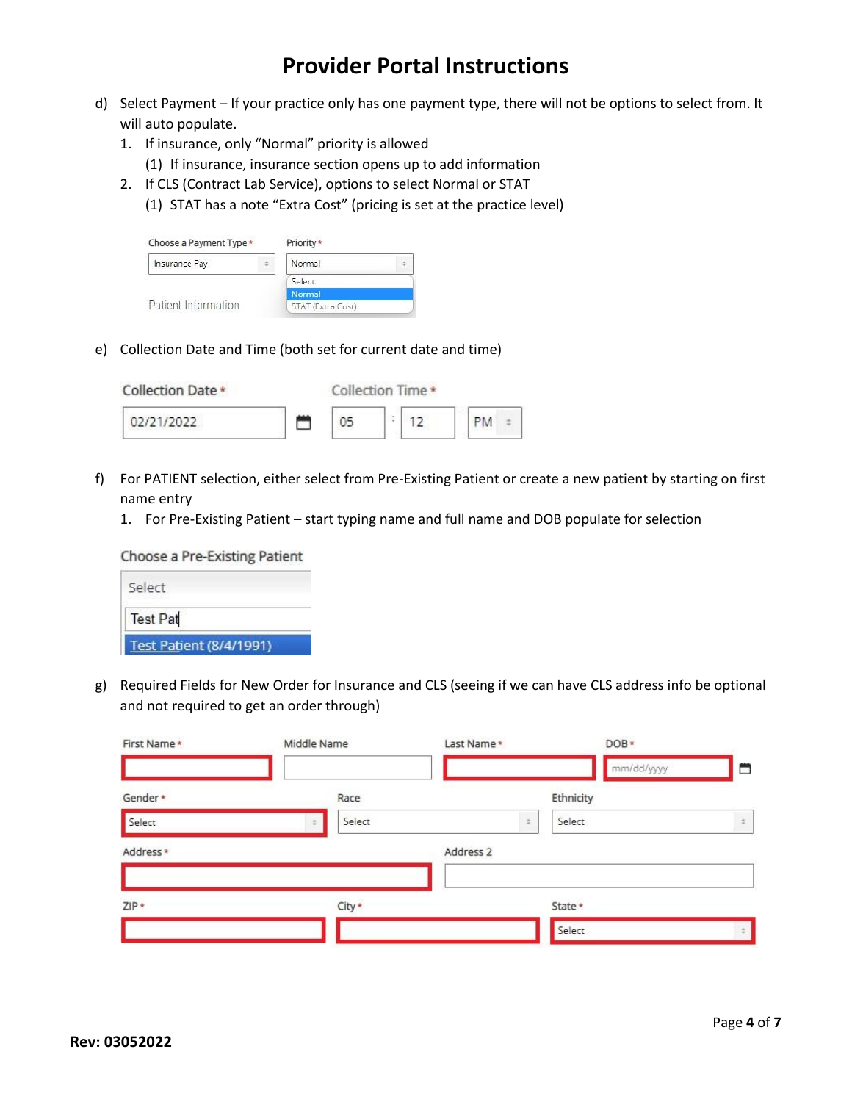- d) Select Payment If your practice only has one payment type, there will not be options to select from. It will auto populate.
	- 1. If insurance, only "Normal" priority is allowed
		- (1) If insurance, insurance section opens up to add information
	- 2. If CLS (Contract Lab Service), options to select Normal or STAT
		- (1) STAT has a note "Extra Cost" (pricing is set at the practice level)

| Choose a Payment Type * | Priority *        |  |
|-------------------------|-------------------|--|
| Insurance Pay           | Normal            |  |
|                         | Select            |  |
|                         | <b>Normal</b>     |  |
| Patient Information     | STAT (Extra Cost) |  |

e) Collection Date and Time (both set for current date and time)

| Collection Date * | Collection Time * |        |  |    |  |
|-------------------|-------------------|--------|--|----|--|
| 02/21/2022        |                   | ٠<br>× |  | PM |  |

- f) For PATIENT selection, either select from Pre-Existing Patient or create a new patient by starting on first name entry
	- 1. For Pre-Existing Patient start typing name and full name and DOB populate for selection

| <b>Test Patient (8/4/1991)</b> |
|--------------------------------|
| <b>Test Pat</b>                |
| Select                         |
| Choose a Pre-Existing Patient  |

g) Required Fields for New Order for Insurance and CLS (seeing if we can have CLS address info be optional and not required to get an order through)

| First Name* | Middle Name |        | Last Name*           |        | DOB*       |       |
|-------------|-------------|--------|----------------------|--------|------------|-------|
|             |             |        |                      |        | mm/dd/yyyy | ₩     |
| Gender*     |             | Race   |                      |        | Ethnicity  |       |
| Select      |             | Select |                      | $\div$ | Select     | $\pm$ |
| Address*    |             |        | Address <sub>2</sub> |        |            |       |
|             |             |        |                      |        |            |       |
| $ZIP*$      |             | City * |                      |        | State *    |       |
|             |             |        |                      |        | Select     |       |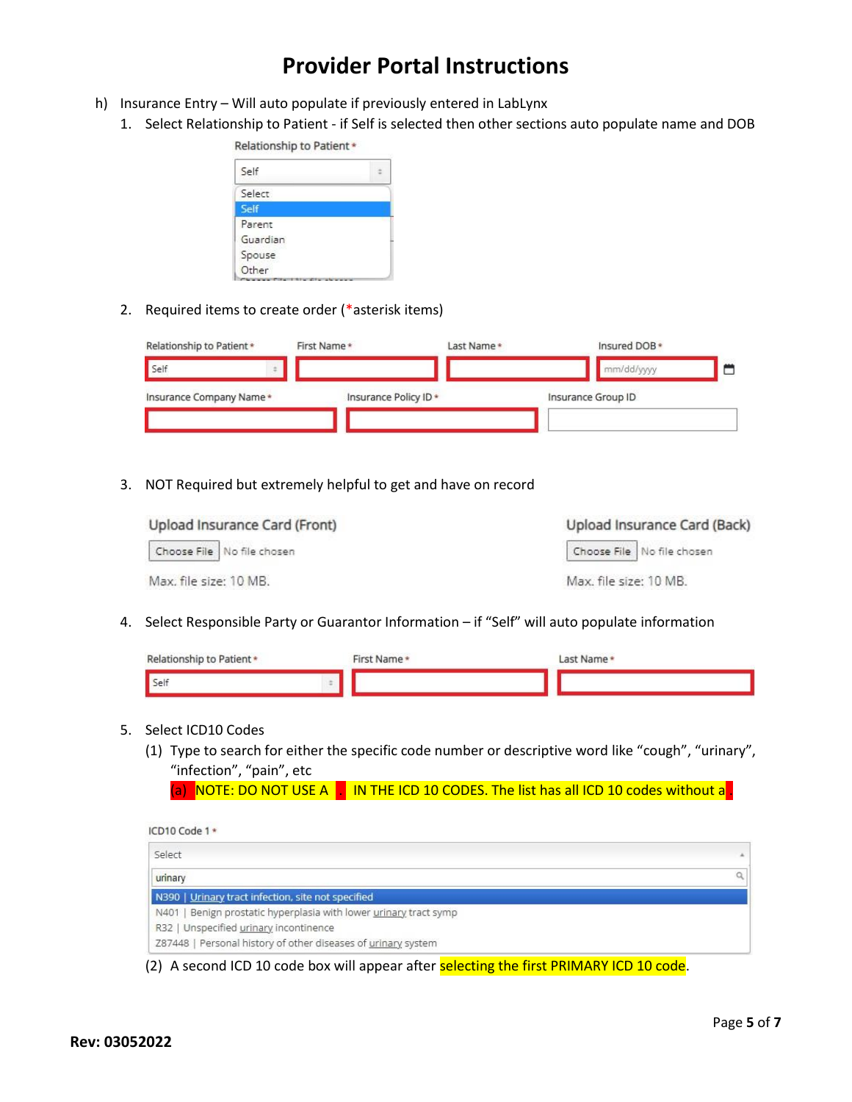- h) Insurance Entry Will auto populate if previously entered in LabLynx
	- 1. Select Relationship to Patient if Self is selected then other sections auto populate name and DOB



2. Required items to create order (\*asterisk items)

| Relationship to Patient * | First Name*           | Last Name* | Insured DOB *      |  |
|---------------------------|-----------------------|------------|--------------------|--|
| Self                      |                       |            | mm/dd/yyyy         |  |
| Insurance Company Name*   | Insurance Policy ID * |            | Insurance Group ID |  |
|                           |                       |            |                    |  |

3. NOT Required but extremely helpful to get and have on record

| Upload Insurance Card (Front) | Upload Insurance Card (Back) |
|-------------------------------|------------------------------|
| Choose File No file chosen    | Choose File No file chosen   |
| Max, file size: 10 MB.        | Max. file size: 10 MB.       |

4. Select Responsible Party or Guarantor Information – if "Self" will auto populate information

| Relationship to Patient * | First Name* | Last Name* |
|---------------------------|-------------|------------|
| Self                      |             |            |

#### 5. Select ICD10 Codes

(1) Type to search for either the specific code number or descriptive word like "cough", "urinary", "infection", "pain", etc

(a) NOTE: DO NOT USE A . IN THE ICD 10 CODES. The list has all ICD 10 codes without a .

| ICD10 Code 1 *                                                    |  |
|-------------------------------------------------------------------|--|
| Select                                                            |  |
| urinary                                                           |  |
| N390   Urinary tract infection, site not specified                |  |
| N401   Benign prostatic hyperplasia with lower urinary tract symp |  |
| R32   Unspecified urinary incontinence                            |  |
| Z87448   Personal history of other diseases of urinary system     |  |
|                                                                   |  |

(2) A second ICD 10 code box will appear after selecting the first PRIMARY ICD 10 code.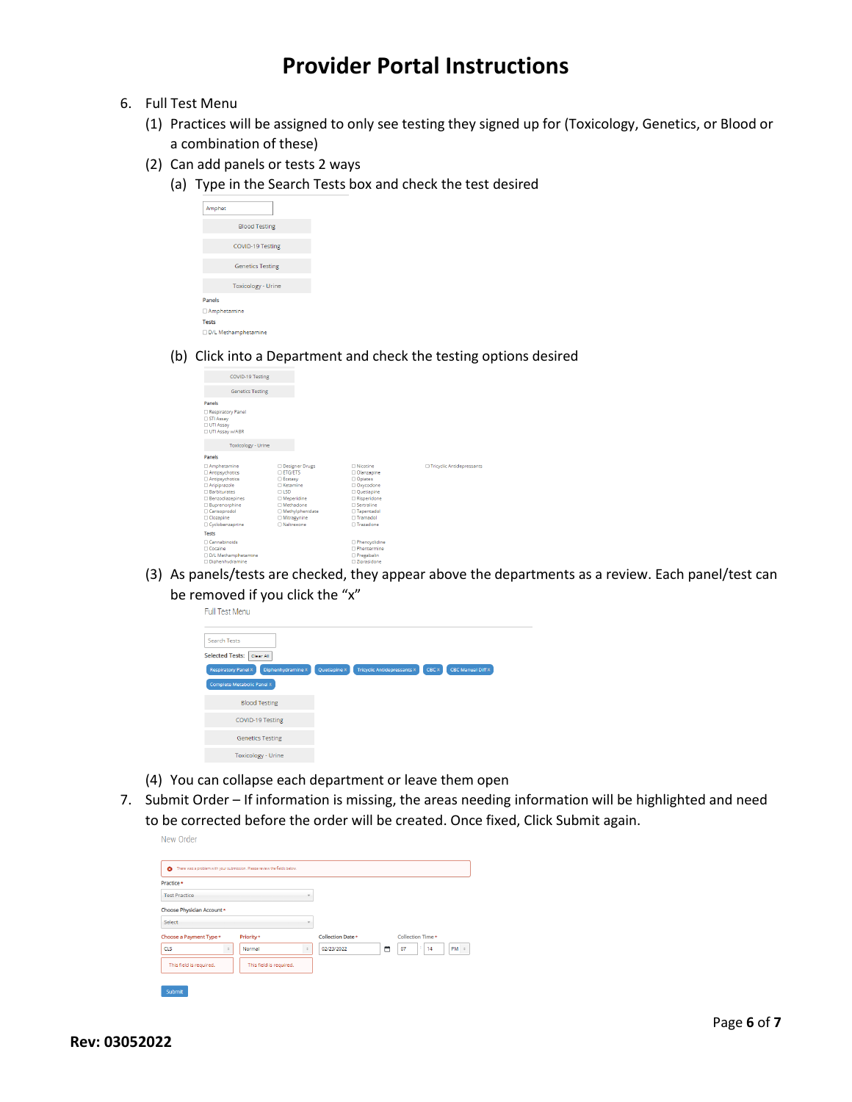- 6. Full Test Menu
	- (1) Practices will be assigned to only see testing they signed up for (Toxicology, Genetics, or Blood or a combination of these)
	- (2) Can add panels or tests 2 ways
		- (a) Type in the Search Tests box and check the test desired

| Amphet                     |  |
|----------------------------|--|
| <b>Blood Testing</b>       |  |
| COVID-19 Testing           |  |
| <b>Genetics Testing</b>    |  |
| <b>Toxicology - Urine</b>  |  |
| <b>Panels</b>              |  |
| □ Amphetamine              |  |
| <b>Tests</b>               |  |
| <b>D/L</b> Methamphetamine |  |

(b) Click into a Department and check the testing options desired

| COVID-19 Testing                                                                                                                                                                  |                                                                                                                                                                                       |                                                                                                                                                  |                             |
|-----------------------------------------------------------------------------------------------------------------------------------------------------------------------------------|---------------------------------------------------------------------------------------------------------------------------------------------------------------------------------------|--------------------------------------------------------------------------------------------------------------------------------------------------|-----------------------------|
| <b>Genetics Testing</b>                                                                                                                                                           |                                                                                                                                                                                       |                                                                                                                                                  |                             |
| Panels                                                                                                                                                                            |                                                                                                                                                                                       |                                                                                                                                                  |                             |
| Respiratory Panel<br>STI Assay<br><b>UTI Assay</b><br>□ UTI Assay w/ABR                                                                                                           |                                                                                                                                                                                       |                                                                                                                                                  |                             |
| <b>Toxicology - Urine</b>                                                                                                                                                         |                                                                                                                                                                                       |                                                                                                                                                  |                             |
| Panels                                                                                                                                                                            |                                                                                                                                                                                       |                                                                                                                                                  |                             |
| Amphetamine<br>Antipsychotics<br><b>Antipsychotics</b><br><b>Aripiprazole</b><br>Barbiturates<br>Benzodiazepines<br>Buprenorphine<br>Carisoprodol<br>Clozapine<br>Cyclobenzaprine | <b>Designer Drugs</b><br><b>DETG/ETS</b><br><b>Ecstasy</b><br>□ Ketamine<br>C <sub>LSD</sub><br>□ Meperidine<br>□ Methadone<br>Methylphenidate<br>□ Mitragynine<br><b>ONaltrexone</b> | □ Nicotine<br>Olanzapine<br>O Opiates<br>Oxycodone<br>O Quetiapine<br>□ Risperidone<br>□ Sertraline<br>□ Tapentadol<br>□ Tramadol<br>□ Trazadone | □ Tricyclic Antidepressants |
| <b>Tests</b>                                                                                                                                                                      |                                                                                                                                                                                       |                                                                                                                                                  |                             |
| Cannabinoids<br>Cocaine<br>DD/L Methamphetamine<br><b>Diphenhydramine</b>                                                                                                         |                                                                                                                                                                                       | <b>D</b> Phencyclidine<br><b>O</b> Phentermine<br>Pregabalin<br>□ Ziprasidone                                                                    |                             |

(3) As panels/tests are checked, they appear above the departments as a review. Each panel/test can be removed if you click the "x"<br> $Full Test Menu$ 

| <b>Search Tests</b>                             |              |                                    |       |                          |
|-------------------------------------------------|--------------|------------------------------------|-------|--------------------------|
| Selected Tests:<br>Clear All                    |              |                                    |       |                          |
| <b>Respiratory Panel X</b><br>Diphenhydramine X | Quetiapine X | <b>Tricyclic Antidepressants X</b> | CBC X | <b>CBC Manual Diff X</b> |
| <b>Complete Metabolic Panel X</b>               |              |                                    |       |                          |
| <b>Blood Testing</b>                            |              |                                    |       |                          |
| COVID-19 Testing                                |              |                                    |       |                          |
| <b>Genetics Testing</b>                         |              |                                    |       |                          |
| <b>Toxicology - Urine</b>                       |              |                                    |       |                          |

- (4) You can collapse each department or leave them open
- 7. Submit Order If information is missing, the areas needing information will be highlighted and need to be corrected before the order will be created. Once fixed, Click Submit again.

| Practice *                 |                         |                |                          |   |                   |           |
|----------------------------|-------------------------|----------------|--------------------------|---|-------------------|-----------|
| <b>Test Practice</b>       |                         | $\overline{ }$ |                          |   |                   |           |
| Choose Physician Account * |                         |                |                          |   |                   |           |
| Select                     |                         |                |                          |   |                   |           |
| Choose a Payment Type *    | Priority *              |                | <b>Collection Date *</b> |   | Collection Time * |           |
| <b>CLS</b>                 | Normal                  |                | 02/23/2022               | ۵ | t.<br>07<br>14    | $PM \div$ |
| This field is required.    | This field is required. |                |                          |   |                   |           |

New Order